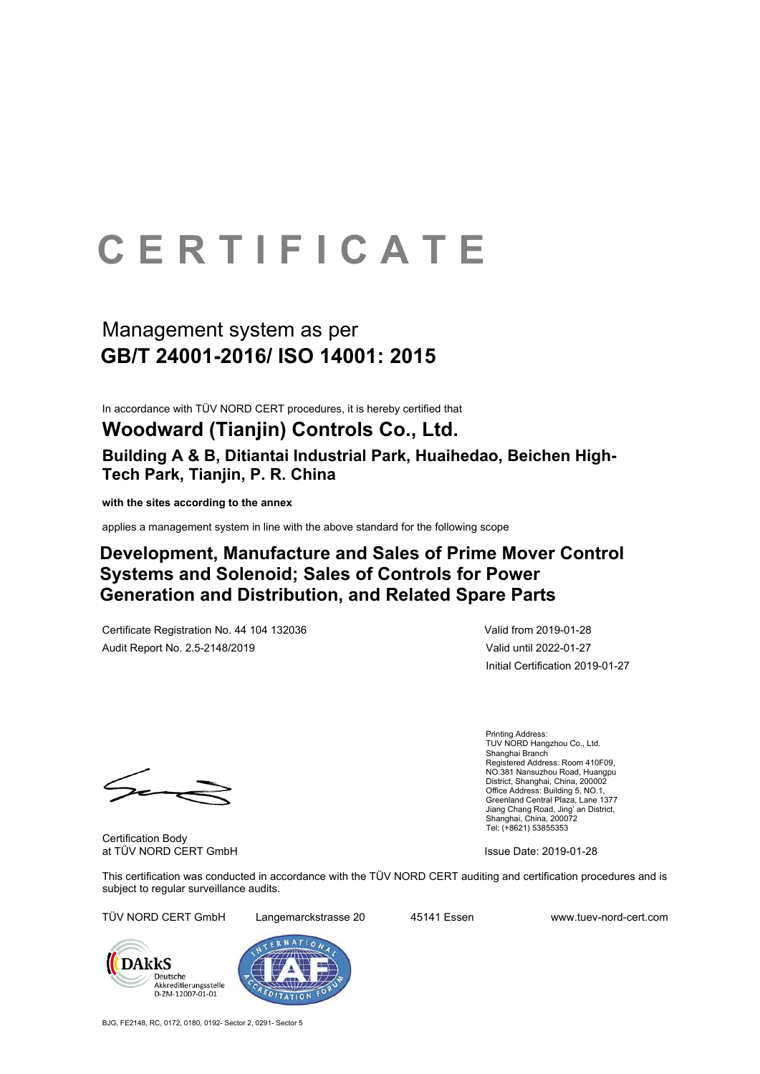BJG, FE2148, RC, 0172, 0180, 0192- Sector 2, 0291- Sector 5

# **CERTIFICATE**

applies a management system in line with the above standard for the following scope

Certification Body at TÜV NORD CERT GmbH **Issue Date: 2019-01-28** 

Initial Certification 2019-01-27



 Printing Address: TUV NORD Hangzhou Co., Ltd. Shanghai Branch Registered Address: Room 410F09, NO.381 Nansuzhou Road, Huangpu District, Shanghai, China, 200002 Office Address: Building 5, NO.1, Greenland Central Plaza, Lane 1377 Jiang Chang Road, Jing' an District,

### Management system as per **GB/T 24001-2016/ ISO 14001: 2015**

In accordance with TÜV NORD CERT procedures, it is hereby certified that

Shanghai, China, 200072 Tel: (+8621) 53855353

This certification was conducted in accordance with the TÜV NORD CERT auditing and certification procedures and is subject to regular surveillance audits.

TÜV NORD CERT GmbH Langemarckstrasse 20 45141 Essen www.tuev-nord-cert.com





#### **Woodward (Tianjin) Controls Co., Ltd. Building A & B, Ditiantai Industrial Park, Huaihedao, Beichen High-Tech Park, Tianjin, P. R. China**

**with the sites according to the annex** 

#### **Development, Manufacture and Sales of Prime Mover Control Systems and Solenoid; Sales of Controls for Power Generation and Distribution, and Related Spare Parts**

Certificate Registration No. 44 104 132036 Valid from 2019-01-28 Audit Report No. 2.5-2148/2019 **Valid until 2022-01-27**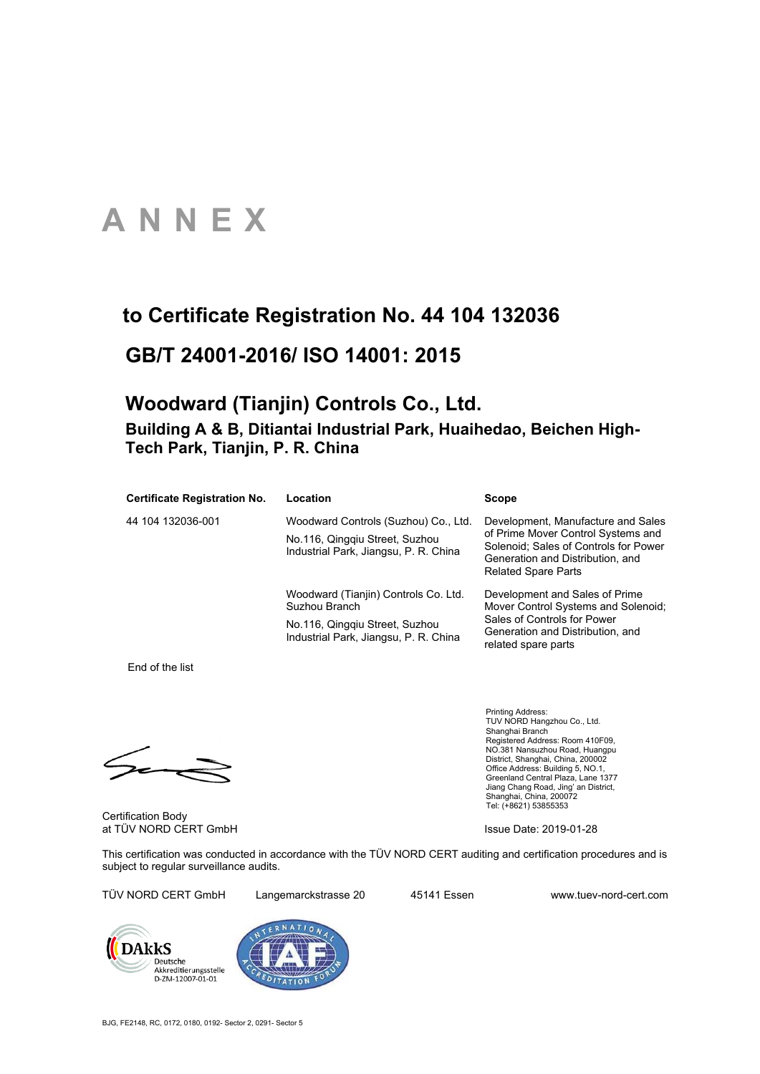BJG, FE2148, RC, 0172, 0180, 0192- Sector 2, 0291- Sector 5

### **ANNEX**

#### **to Certificate Registration No. 44 104 132036**

| <b>Certificate Registration No.</b> | Location                                                                                                        | <b>Scope</b>                                                                                                                                                                        |
|-------------------------------------|-----------------------------------------------------------------------------------------------------------------|-------------------------------------------------------------------------------------------------------------------------------------------------------------------------------------|
| 44 104 132036-001                   | Woodward Controls (Suzhou) Co., Ltd.<br>No.116, Qingqiu Street, Suzhou<br>Industrial Park, Jiangsu, P. R. China | Development, Manufacture and Sales<br>of Prime Mover Control Systems and<br>Solenoid; Sales of Controls for Power<br>Generation and Distribution, and<br><b>Related Spare Parts</b> |
|                                     | Woodward (Tianjin) Controls Co. Ltd.<br>Suzhou Branch                                                           | Development and Sales of Prime<br>Mover Control Systems and Solenoid;<br><b>Sales of Controls for Power</b><br>Generation and Distribution, and<br>related spare parts              |
|                                     | No.116, Qingqiu Street, Suzhou<br>Industrial Park, Jiangsu, P. R. China                                         |                                                                                                                                                                                     |

Certification Body at TÜV NORD CERT GmbH **Issue Date: 2019-01-28** 

End of the list



 Printing Address: TUV NORD Hangzhou Co., Ltd. Shanghai Branch Registered Address: Room 410F09, NO.381 Nansuzhou Road, Huangpu District, Shanghai, China, 200002 Office Address: Building 5, NO.1, Greenland Central Plaza, Lane 1377 Jiang Chang Road, Jing' an District, Shanghai, China, 200072 Tel: (+8621) 53855353

This certification was conducted in accordance with the TÜV NORD CERT auditing and certification procedures and is subject to regular surveillance audits.

TÜV NORD CERT GmbH Langemarckstrasse 20 45141 Essen www.tuev-nord-cert.com





#### **Woodward (Tianjin) Controls Co., Ltd.**

#### **Building A & B, Ditiantai Industrial Park, Huaihedao, Beichen High-Tech Park, Tianjin, P. R. China**

#### **GB/T 24001-2016/ ISO 14001: 2015**